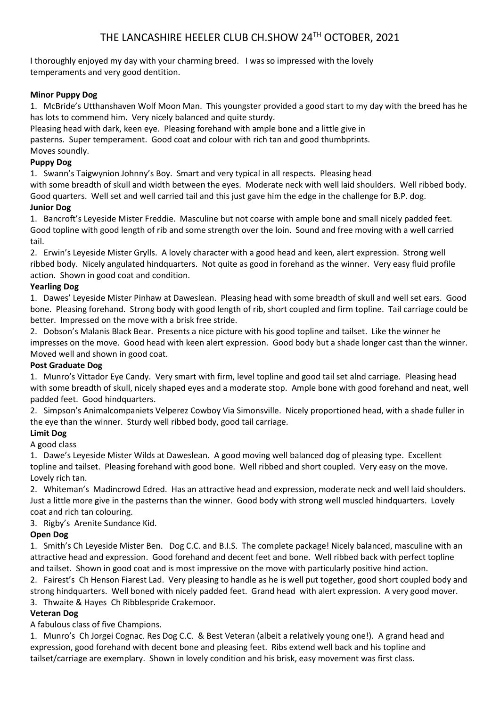I thoroughly enjoyed my day with your charming breed. I was so impressed with the lovely temperaments and very good dentition.

# **Minor Puppy Dog**

1. McBride's Utthanshaven Wolf Moon Man. This youngster provided a good start to my day with the breed has he has lots to commend him. Very nicely balanced and quite sturdy.

Pleasing head with dark, keen eye. Pleasing forehand with ample bone and a little give in

pasterns. Super temperament. Good coat and colour with rich tan and good thumbprints.

Moves soundly.

# **Puppy Dog**

1. Swann's Taigwynion Johnny's Boy. Smart and very typical in all respects. Pleasing head with some breadth of skull and width between the eyes. Moderate neck with well laid shoulders. Well ribbed body. Good quarters. Well set and well carried tail and this just gave him the edge in the challenge for B.P. dog. **Junior Dog**

1. Bancroft's Leyeside Mister Freddie. Masculine but not coarse with ample bone and small nicely padded feet. Good topline with good length of rib and some strength over the loin. Sound and free moving with a well carried tail.

2. Erwin's Leyeside Mister Grylls. A lovely character with a good head and keen, alert expression. Strong well ribbed body. Nicely angulated hindquarters. Not quite as good in forehand as the winner. Very easy fluid profile action. Shown in good coat and condition.

# **Yearling Dog**

1. Dawes' Leyeside Mister Pinhaw at Daweslean. Pleasing head with some breadth of skull and well set ears. Good bone. Pleasing forehand. Strong body with good length of rib, short coupled and firm topline. Tail carriage could be better. Impressed on the move with a brisk free stride.

2. Dobson's Malanis Black Bear. Presents a nice picture with his good topline and tailset. Like the winner he impresses on the move. Good head with keen alert expression. Good body but a shade longer cast than the winner. Moved well and shown in good coat.

#### **Post Graduate Dog**

1. Munro's Vittador Eye Candy. Very smart with firm, level topline and good tail set alnd carriage. Pleasing head with some breadth of skull, nicely shaped eyes and a moderate stop. Ample bone with good forehand and neat, well padded feet. Good hindquarters.

2. Simpson's Animalcompaniets Velperez Cowboy Via Simonsville. Nicely proportioned head, with a shade fuller in the eye than the winner. Sturdy well ribbed body, good tail carriage.

# **Limit Dog**

A good class

1. Dawe's Leyeside Mister Wilds at Daweslean. A good moving well balanced dog of pleasing type. Excellent topline and tailset. Pleasing forehand with good bone. Well ribbed and short coupled. Very easy on the move. Lovely rich tan.

2. Whiteman's Madincrowd Edred. Has an attractive head and expression, moderate neck and well laid shoulders. Just a little more give in the pasterns than the winner. Good body with strong well muscled hindquarters. Lovely coat and rich tan colouring.

# 3. Rigby's Arenite Sundance Kid.

# **Open Dog**

1. Smith's Ch Leyeside Mister Ben. Dog C.C. and B.I.S. The complete package! Nicely balanced, masculine with an attractive head and expression. Good forehand and decent feet and bone. Well ribbed back with perfect topline and tailset. Shown in good coat and is most impressive on the move with particularly positive hind action.

2. Fairest's Ch Henson Fiarest Lad. Very pleasing to handle as he is well put together, good short coupled body and strong hindquarters. Well boned with nicely padded feet. Grand head with alert expression. A very good mover. 3. Thwaite & Hayes Ch Ribblespride Crakemoor.

# **Veteran Dog**

A fabulous class of five Champions.

1. Munro's Ch Jorgei Cognac. Res Dog C.C. & Best Veteran (albeit a relatively young one!). A grand head and expression, good forehand with decent bone and pleasing feet. Ribs extend well back and his topline and tailset/carriage are exemplary. Shown in lovely condition and his brisk, easy movement was first class.